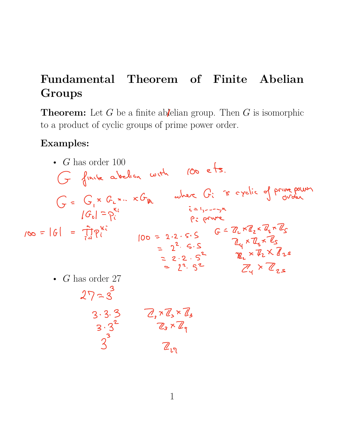## **Fundamental Theorem of Finite Abelian Groups**

**Theorem:** Let  $G$  be a finite ablelian group. Then  $G$  is isomorphic to a product of cyclic groups of prime power order.

## **Examples:**

• *G* has order 100 • *G* has order 27 G finite abelian with 100 ets.  $G = G_{1} \times G_{2} \times G_{1} \times G_{1}$  where  $G_{i}$  is cyclic of prive power  $|\mathcal{G}_{\mathfrak{e}}| = \rho_{\mathfrak{e}}^{\mathfrak{e}_{\mathfrak{e}}}$ <br> $|\mathfrak{e}_{\mathfrak{e}}| = \prod_{i=1}^{n} \rho_{\mathfrak{e}}^{\mathfrak{e}_{\mathfrak{e}}}$ i = 1,---yn<br>P: prune P: prime  $100 = 61 = \frac{100}{100}$  100 = 2.2.5.5  $G = 2.2 \times 4.7$ <br> $100 = 2.2 \times 5.5$   $G = 2.2 \times 4.7$  $2^2$   $5.5$   $2^4 \times 7.5$   $2^5$  $\mathbb{R}_{2} \times \mathbb{Z}_{2} \times \mathbb{Z}_{2} \times \mathbb{Z}_{2}$  $2^2$  3  $2^4$  x  $2^5$  $27 - 3^3$  $3.3 \frac{3}{2}$   $4.7 \frac{8}{3} \frac{8}{3}$  $3 \cdot 3$   $2 \cdot 3$   $2 \cdot 4$  $3$   $\mathbb{Z}_{\nu}$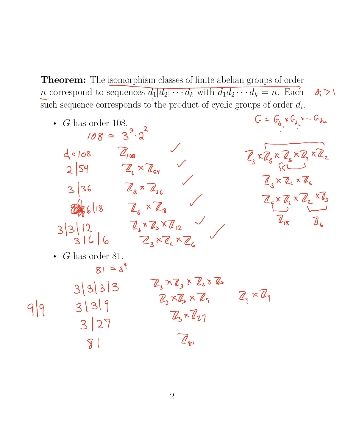**Theorem:** The isomorphism classes of finite abelian groups of order *n* correspond to sequences  $d_1|d_2|\cdots d_k$  with  $d_1d_2\cdots d_k = n$ . Each n correspond to sequences  $d_1|d_2|\cdots d_k$  with  $d_1d_2\cdots d_k = n$ . Each  $\mathcal{A}_i > 0$ <br>such sequence corresponds to the product of cyclic groups of order  $d_i$ .

- G has order 108.  
\n108 = 3<sup>3</sup>·3<sup>2</sup>  
\n4 s 108 
$$
\frac{Z_{108}}{Z_{108}}
$$
  
\n2 |54  $\frac{Z_{2} \times Z_{34}}{Z_{2} \times Z_{36}}$   
\n3 |36  $\frac{Z_{3} \times Z_{4}}{Z_{3} \times Z_{36}}$   
\n3 |3 |12  $\frac{Z_{3} \times Z_{4} \times Z_{2}}{Z_{3} \times Z_{4} \times Z_{6}}$   
\n- G has order 81.  
\n8 |3 |3 |3  $\frac{Z_{3} \times Z_{4} \times Z_{6}}{Z_{3} \times Z_{3} \times Z_{6}}$   
\n9 |9 3 |3 |3  $\frac{Z_{3} \times Z_{4} \times Z_{6}}{Z_{3} \times Z_{4} \times Z_{6}}$   
\n3 |3 |3 |3  $\frac{Z_{3} \times Z_{4} \times Z_{6}}{Z_{3} \times Z_{3} \times Z_{6}}$   
\n3 |3 |3 |3  $\frac{Z_{3} \times Z_{3} \times Z_{6}}{Z_{3} \times Z_{3} \times Z_{9}}$   
\n3 |3 |3 |  
\n3 |2 |  
\n3 |1 |  
\n3 |2 |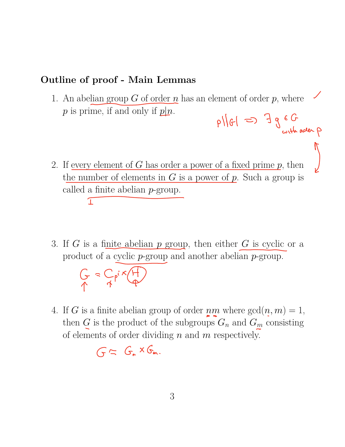## **Outline of proof - Main Lemmas**

- 1. An abelian group  $G$  of order  $n$  has an element of order  $p$ , where  $p$  is prime, if and only if  $p|n$ .  $p\sqrt{61} \Rightarrow 7966$
- 2. If every element of *G* has order a power of a fixed prime *p*, then the number of elements in *G* is a power of *p*. Such a group is called a finite abelian *p*-group.  $\mathbf{T}$

 $\int$ 

3. If *G* is a finite abelian *p* group, then either *G* is cyclic or a product of a cyclic *p*-group and another abelian *p*-group.

$$
G = G_{\rho i} \times \overbrace{F}
$$

4. If *G* is a finite abelian group of order  $nm$  where  $gcd(n, m) = 1$ , then  $G$  is the product of the subgroups  $G_n$  and  $G_m$  consisting of elements of order dividing *n* and *m* respectively.

 $G = G_{n} \times G_{m}$ .